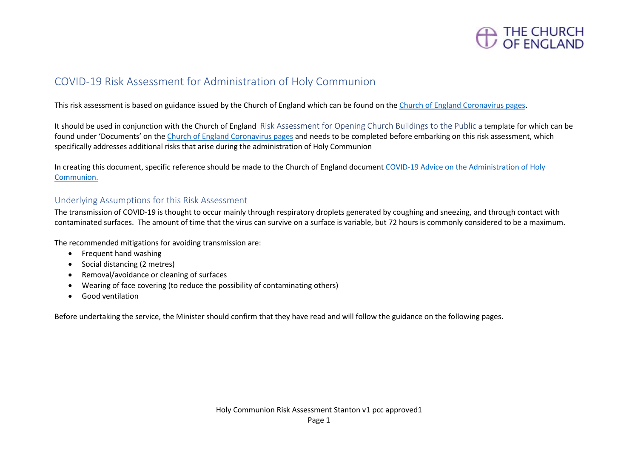

## COVID-19 Risk Assessment for Administration of Holy Communion

This risk assessment is based on guidance issued by the Church of England which can be found on the [Church of England Coronavirus pages.](https://www.churchofengland.org/more/media-centre/coronavirus-covid-19-guidance-churches)

It should be used in conjunction with the Church of England Risk Assessment for Opening Church Buildings to the Public a template for which can be found under 'Documents' on th[e Church of England Coronavirus pages](https://www.churchofengland.org/more/media-centre/coronavirus-covid-19-guidance-churches) and needs to be completed before embarking on this risk assessment, which specifically addresses additional risks that arise during the administration of Holy Communion

In creating this document, specific reference should be made to the Church of England document [COVID-19 Advice on the Administration of Holy](https://mcusercontent.com/14501d5eebc3e98fa3015a290/files/4749c383-5f08-434a-8fbd-beabdcb1d189/Coronavirus_Advice_on_the_Administration_of_Holy_Communion_v3.0.pdf)  [Communion.](https://mcusercontent.com/14501d5eebc3e98fa3015a290/files/4749c383-5f08-434a-8fbd-beabdcb1d189/Coronavirus_Advice_on_the_Administration_of_Holy_Communion_v3.0.pdf)

### Underlying Assumptions for this Risk Assessment

The transmission of COVID-19 is thought to occur mainly through respiratory droplets generated by coughing and sneezing, and through contact with contaminated surfaces. The amount of time that the virus can survive on a surface is variable, but 72 hours is commonly considered to be a maximum.

The recommended mitigations for avoiding transmission are:

- Frequent hand washing
- Social distancing (2 metres)
- Removal/avoidance or cleaning of surfaces
- Wearing of face covering (to reduce the possibility of contaminating others)
- Good ventilation

Before undertaking the service, the Minister should confirm that they have read and will follow the guidance on the following pages.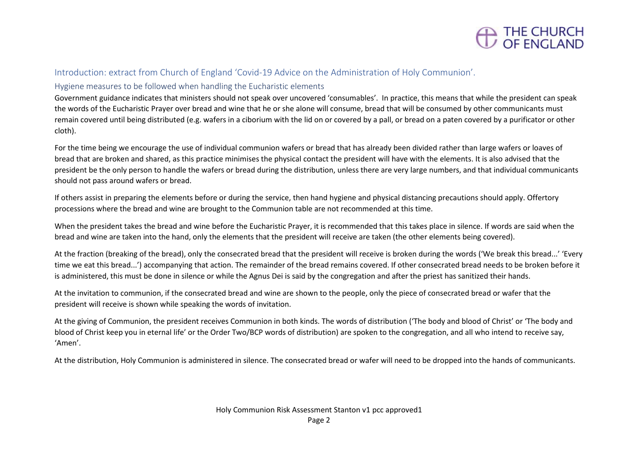

#### Introduction: extract from Church of England 'Covid-19 Advice on the Administration of Holy Communion'.

#### Hygiene measures to be followed when handling the Eucharistic elements

Government guidance indicates that ministers should not speak over uncovered 'consumables'. In practice, this means that while the president can speak the words of the Eucharistic Prayer over bread and wine that he or she alone will consume, bread that will be consumed by other communicants must remain covered until being distributed (e.g. wafers in a ciborium with the lid on or covered by a pall, or bread on a paten covered by a purificator or other cloth).

For the time being we encourage the use of individual communion wafers or bread that has already been divided rather than large wafers or loaves of bread that are broken and shared, as this practice minimises the physical contact the president will have with the elements. It is also advised that the president be the only person to handle the wafers or bread during the distribution, unless there are very large numbers, and that individual communicants should not pass around wafers or bread.

If others assist in preparing the elements before or during the service, then hand hygiene and physical distancing precautions should apply. Offertory processions where the bread and wine are brought to the Communion table are not recommended at this time.

When the president takes the bread and wine before the Eucharistic Prayer, it is recommended that this takes place in silence. If words are said when the bread and wine are taken into the hand, only the elements that the president will receive are taken (the other elements being covered).

At the fraction (breaking of the bread), only the consecrated bread that the president will receive is broken during the words ('We break this bread...' 'Every time we eat this bread...') accompanying that action. The remainder of the bread remains covered. If other consecrated bread needs to be broken before it is administered, this must be done in silence or while the Agnus Dei is said by the congregation and after the priest has sanitized their hands.

At the invitation to communion, if the consecrated bread and wine are shown to the people, only the piece of consecrated bread or wafer that the president will receive is shown while speaking the words of invitation.

At the giving of Communion, the president receives Communion in both kinds. The words of distribution ('The body and blood of Christ' or 'The body and blood of Christ keep you in eternal life' or the Order Two/BCP words of distribution) are spoken to the congregation, and all who intend to receive say, 'Amen'.

At the distribution, Holy Communion is administered in silence. The consecrated bread or wafer will need to be dropped into the hands of communicants.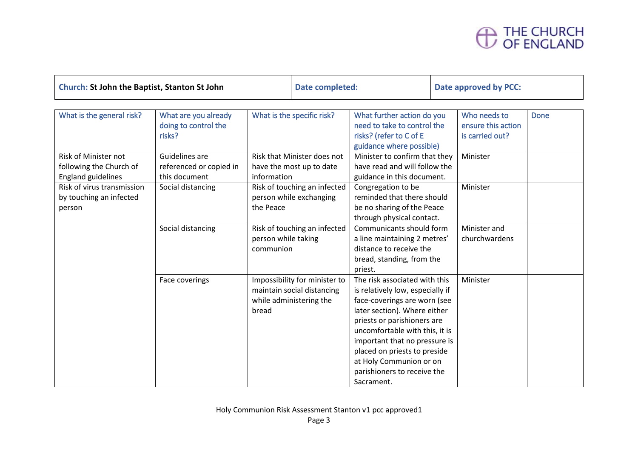# THE CHURCH<br>OF ENGLAND

| <b>Church: St John the Baptist, Stanton St John</b>                          |                                                            | Date completed:                                                        |                                                                                        | Date approved by PCC:                                                                                                                                                                                                                                                                                                                       |                                                       |             |
|------------------------------------------------------------------------------|------------------------------------------------------------|------------------------------------------------------------------------|----------------------------------------------------------------------------------------|---------------------------------------------------------------------------------------------------------------------------------------------------------------------------------------------------------------------------------------------------------------------------------------------------------------------------------------------|-------------------------------------------------------|-------------|
| What is the general risk?                                                    | What are you already<br>doing to control the<br>risks?     | What is the specific risk?                                             |                                                                                        | What further action do you<br>need to take to control the<br>risks? (refer to C of E<br>guidance where possible)                                                                                                                                                                                                                            | Who needs to<br>ensure this action<br>is carried out? | <b>Done</b> |
| Risk of Minister not<br>following the Church of<br><b>England guidelines</b> | Guidelines are<br>referenced or copied in<br>this document | Risk that Minister does not<br>have the most up to date<br>information |                                                                                        | Minister to confirm that they<br>have read and will follow the<br>guidance in this document.                                                                                                                                                                                                                                                | Minister                                              |             |
| Risk of virus transmission<br>by touching an infected<br>person              | Social distancing                                          | Risk of touching an infected<br>person while exchanging<br>the Peace   |                                                                                        | Congregation to be<br>reminded that there should<br>be no sharing of the Peace<br>through physical contact.                                                                                                                                                                                                                                 | Minister                                              |             |
|                                                                              | Social distancing                                          | person while taking<br>communion                                       | Risk of touching an infected                                                           | Communicants should form<br>a line maintaining 2 metres'<br>distance to receive the<br>bread, standing, from the<br>priest.                                                                                                                                                                                                                 | Minister and<br>churchwardens                         |             |
|                                                                              | Face coverings                                             | bread                                                                  | Impossibility for minister to<br>maintain social distancing<br>while administering the | The risk associated with this<br>is relatively low, especially if<br>face-coverings are worn (see<br>later section). Where either<br>priests or parishioners are<br>uncomfortable with this, it is<br>important that no pressure is<br>placed on priests to preside<br>at Holy Communion or on<br>parishioners to receive the<br>Sacrament. | Minister                                              |             |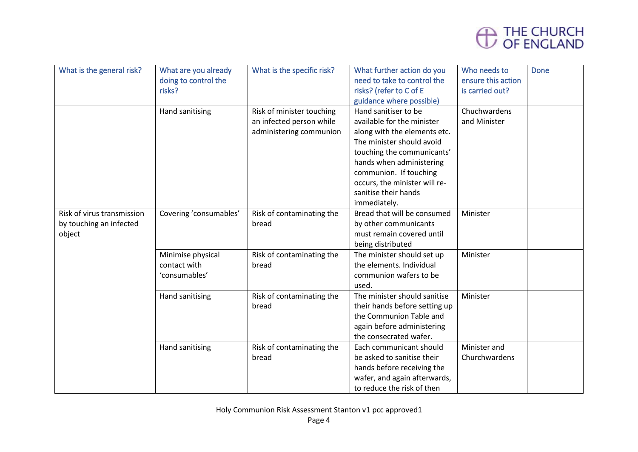

| What is the general risk?  | What are you already   | What is the specific risk? | What further action do you    | Who needs to       | <b>Done</b> |
|----------------------------|------------------------|----------------------------|-------------------------------|--------------------|-------------|
|                            | doing to control the   |                            | need to take to control the   | ensure this action |             |
|                            | risks?                 |                            | risks? (refer to C of E       | is carried out?    |             |
|                            |                        |                            | guidance where possible)      |                    |             |
|                            | Hand sanitising        | Risk of minister touching  | Hand sanitiser to be          | Chuchwardens       |             |
|                            |                        | an infected person while   | available for the minister    | and Minister       |             |
|                            |                        | administering communion    | along with the elements etc.  |                    |             |
|                            |                        |                            | The minister should avoid     |                    |             |
|                            |                        |                            | touching the communicants'    |                    |             |
|                            |                        |                            | hands when administering      |                    |             |
|                            |                        |                            | communion. If touching        |                    |             |
|                            |                        |                            | occurs, the minister will re- |                    |             |
|                            |                        |                            | sanitise their hands          |                    |             |
|                            |                        |                            | immediately.                  |                    |             |
| Risk of virus transmission | Covering 'consumables' | Risk of contaminating the  | Bread that will be consumed   | Minister           |             |
| by touching an infected    |                        | bread                      | by other communicants         |                    |             |
| object                     |                        |                            | must remain covered until     |                    |             |
|                            |                        |                            | being distributed             |                    |             |
|                            | Minimise physical      | Risk of contaminating the  | The minister should set up    | Minister           |             |
|                            | contact with           | bread                      | the elements. Individual      |                    |             |
|                            | 'consumables'          |                            | communion wafers to be        |                    |             |
|                            |                        |                            | used.                         |                    |             |
|                            | Hand sanitising        | Risk of contaminating the  | The minister should sanitise  | Minister           |             |
|                            |                        | bread                      | their hands before setting up |                    |             |
|                            |                        |                            | the Communion Table and       |                    |             |
|                            |                        |                            | again before administering    |                    |             |
|                            |                        |                            | the consecrated wafer.        |                    |             |
|                            | Hand sanitising        | Risk of contaminating the  | Each communicant should       | Minister and       |             |
|                            |                        | bread                      | be asked to sanitise their    | Churchwardens      |             |
|                            |                        |                            | hands before receiving the    |                    |             |
|                            |                        |                            | wafer, and again afterwards,  |                    |             |
|                            |                        |                            | to reduce the risk of then    |                    |             |